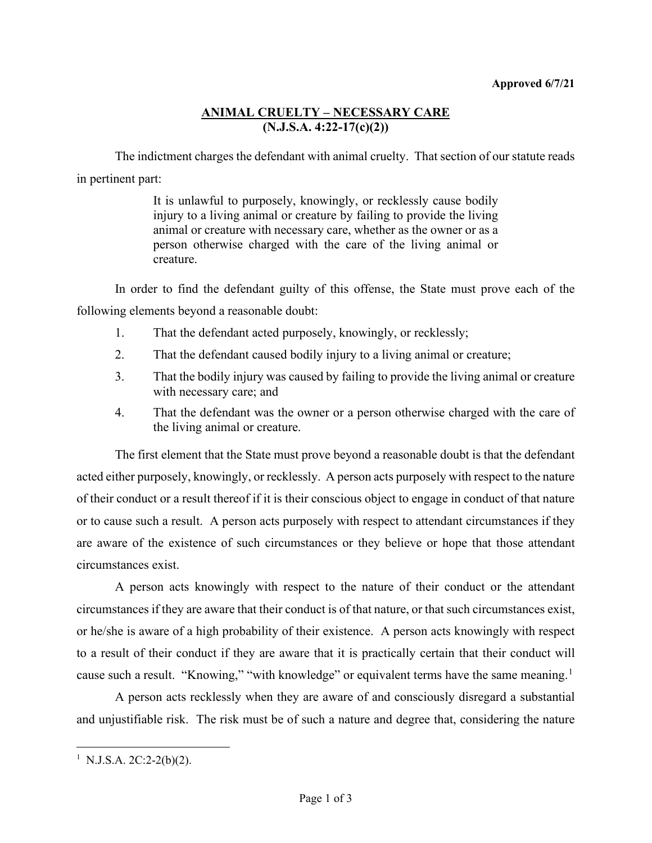## **ANIMAL CRUELTY – NECESSARY CARE (N.J.S.A. 4:22-17(c)(2))**

The indictment charges the defendant with animal cruelty. That section of our statute reads in pertinent part:

> It is unlawful to purposely, knowingly, or recklessly cause bodily injury to a living animal or creature by failing to provide the living animal or creature with necessary care, whether as the owner or as a person otherwise charged with the care of the living animal or creature.

In order to find the defendant guilty of this offense, the State must prove each of the following elements beyond a reasonable doubt:

- 1. That the defendant acted purposely, knowingly, or recklessly;
- 2. That the defendant caused bodily injury to a living animal or creature;
- 3. That the bodily injury was caused by failing to provide the living animal or creature with necessary care; and
- 4. That the defendant was the owner or a person otherwise charged with the care of the living animal or creature.

The first element that the State must prove beyond a reasonable doubt is that the defendant acted either purposely, knowingly, or recklessly. A person acts purposely with respect to the nature of their conduct or a result thereof if it is their conscious object to engage in conduct of that nature or to cause such a result. A person acts purposely with respect to attendant circumstances if they are aware of the existence of such circumstances or they believe or hope that those attendant circumstances exist.

A person acts knowingly with respect to the nature of their conduct or the attendant circumstances if they are aware that their conduct is of that nature, or that such circumstances exist, or he/she is aware of a high probability of their existence. A person acts knowingly with respect to a result of their conduct if they are aware that it is practically certain that their conduct will cause such a result. "Knowing," "with knowledge" or equivalent terms have the same meaning.<sup>[1](#page-0-0)</sup>

A person acts recklessly when they are aware of and consciously disregard a substantial and unjustifiable risk. The risk must be of such a nature and degree that, considering the nature

<span id="page-0-0"></span><sup>&</sup>lt;sup>1</sup> N.J.S.A. 2C:2-2(b)(2).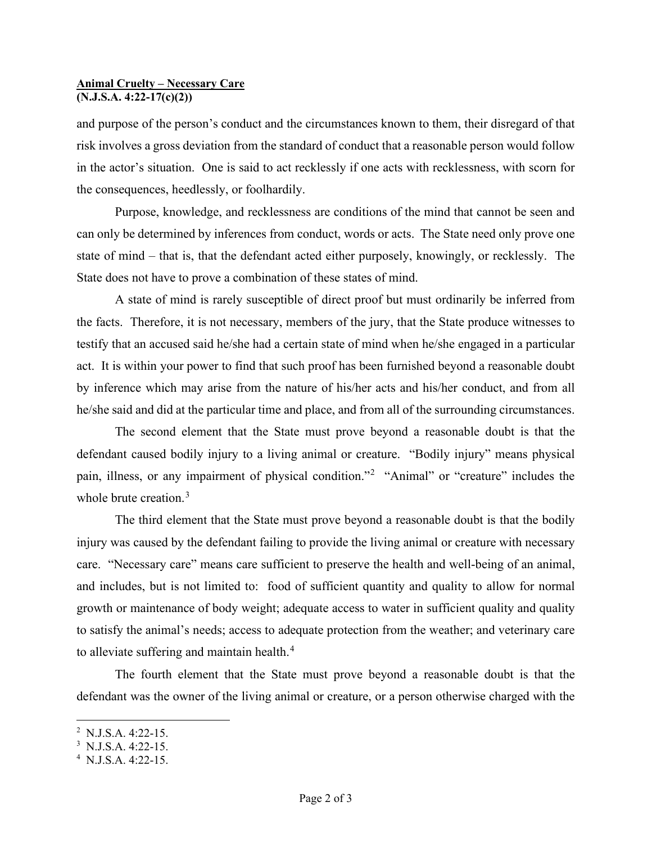## **Animal Cruelty – Necessary Care (N.J.S.A. 4:22-17(c)(2))**

and purpose of the person's conduct and the circumstances known to them, their disregard of that risk involves a gross deviation from the standard of conduct that a reasonable person would follow in the actor's situation. One is said to act recklessly if one acts with recklessness, with scorn for the consequences, heedlessly, or foolhardily.

Purpose, knowledge, and recklessness are conditions of the mind that cannot be seen and can only be determined by inferences from conduct, words or acts. The State need only prove one state of mind – that is, that the defendant acted either purposely, knowingly, or recklessly. The State does not have to prove a combination of these states of mind.

A state of mind is rarely susceptible of direct proof but must ordinarily be inferred from the facts. Therefore, it is not necessary, members of the jury, that the State produce witnesses to testify that an accused said he/she had a certain state of mind when he/she engaged in a particular act. It is within your power to find that such proof has been furnished beyond a reasonable doubt by inference which may arise from the nature of his/her acts and his/her conduct, and from all he/she said and did at the particular time and place, and from all of the surrounding circumstances.

The second element that the State must prove beyond a reasonable doubt is that the defendant caused bodily injury to a living animal or creature. "Bodily injury" means physical pain, illness, or any impairment of physical condition."<sup>[2](#page-1-0)</sup> "Animal" or "creature" includes the whole brute creation.<sup>[3](#page-1-1)</sup>

The third element that the State must prove beyond a reasonable doubt is that the bodily injury was caused by the defendant failing to provide the living animal or creature with necessary care. "Necessary care" means care sufficient to preserve the health and well-being of an animal, and includes, but is not limited to: food of sufficient quantity and quality to allow for normal growth or maintenance of body weight; adequate access to water in sufficient quality and quality to satisfy the animal's needs; access to adequate protection from the weather; and veterinary care to alleviate suffering and maintain health.<sup>[4](#page-1-2)</sup>

The fourth element that the State must prove beyond a reasonable doubt is that the defendant was the owner of the living animal or creature, or a person otherwise charged with the

<span id="page-1-0"></span><sup>&</sup>lt;sup>2</sup> N.J.S.A. 4:22-15.

<span id="page-1-1"></span> $3$  N.J.S.A. 4:22-15.

<span id="page-1-2"></span> $4$  N.J.S.A. 4:22-15.